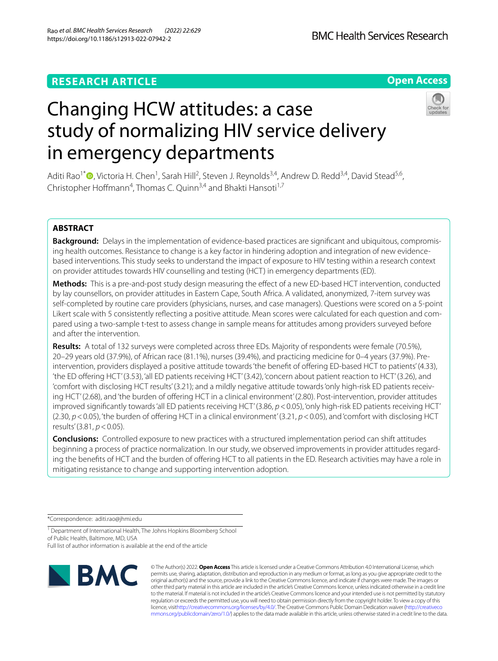# **RESEARCH ARTICLE**

## **Open Access**



# Changing HCW attitudes: a case study of normalizing HIV service delivery in emergency departments

Aditi Rao<sup>1[\\*](http://orcid.org/0000-0003-4966-5778)</sup> <sup>(1</sup>), Victoria H. Chen<sup>1</sup>, Sarah Hill<sup>2</sup>, Steven J. Reynolds<sup>3,4</sup>, Andrew D. Redd<sup>3,4</sup>, David Stead<sup>5,6</sup>, Christopher Hoffmann<sup>4</sup>, Thomas C. Quinn<sup>3,4</sup> and Bhakti Hansoti<sup>1,7</sup>

# **ABSTRACT**

**Background:** Delays in the implementation of evidence-based practices are signifcant and ubiquitous, compromising health outcomes. Resistance to change is a key factor in hindering adoption and integration of new evidencebased interventions. This study seeks to understand the impact of exposure to HIV testing within a research context on provider attitudes towards HIV counselling and testing (HCT) in emergency departments (ED).

**Methods:** This is a pre-and-post study design measuring the effect of a new ED-based HCT intervention, conducted by lay counsellors, on provider attitudes in Eastern Cape, South Africa. A validated, anonymized, 7-item survey was self-completed by routine care providers (physicians, nurses, and case managers). Questions were scored on a 5-point Likert scale with 5 consistently refecting a positive attitude. Mean scores were calculated for each question and compared using a two-sample t-test to assess change in sample means for attitudes among providers surveyed before and after the intervention.

**Results:** A total of 132 surveys were completed across three EDs. Majority of respondents were female (70.5%), 20–29 years old (37.9%), of African race (81.1%), nurses (39.4%), and practicing medicine for 0–4 years (37.9%). Preintervention, providers displayed a positive attitude towards 'the beneft of ofering ED-based HCT to patients' (4.33), 'the ED ofering HCT' (3.53), 'all ED patients receiving HCT' (3.42), 'concern about patient reaction to HCT' (3.26), and 'comfort with disclosing HCT results' (3.21); and a mildly negative attitude towards 'only high-risk ED patients receiving HCT' (2.68), and 'the burden of offering HCT in a clinical environment' (2.80). Post-intervention, provider attitudes improved signifcantly towards 'all ED patients receiving HCT' (3.86, *p*<0.05), 'only high-risk ED patients receiving HCT' (2.30, *p*<0.05), 'the burden of ofering HCT in a clinical environment' (3.21, *p*<0.05), and 'comfort with disclosing HCT results' (3.81, *p*<0.05).

**Conclusions:** Controlled exposure to new practices with a structured implementation period can shift attitudes beginning a process of practice normalization. In our study, we observed improvements in provider attitudes regarding the benefits of HCT and the burden of offering HCT to all patients in the ED. Research activities may have a role in mitigating resistance to change and supporting intervention adoption.

\*Correspondence: aditi.rao@jhmi.edu

<sup>1</sup> Department of International Health, The Johns Hopkins Bloomberg School of Public Health, Baltimore, MD, USA Full list of author information is available at the end of the article



© The Author(s) 2022. **Open Access** This article is licensed under a Creative Commons Attribution 4.0 International License, which permits use, sharing, adaptation, distribution and reproduction in any medium or format, as long as you give appropriate credit to the original author(s) and the source, provide a link to the Creative Commons licence, and indicate if changes were made. The images or other third party material in this article are included in the article's Creative Commons licence, unless indicated otherwise in a credit line to the material. If material is not included in the article's Creative Commons licence and your intended use is not permitted by statutory regulation or exceeds the permitted use, you will need to obtain permission directly from the copyright holder. To view a copy of this licence, visi[thttp://creativecommons.org/licenses/by/4.0/](http://creativecommons.org/licenses/by/4.0/). The Creative Commons Public Domain Dedication waiver [\(http://creativeco](http://creativecommons.org/publicdomain/zero/1.0/) [mmons.org/publicdomain/zero/1.0/](http://creativecommons.org/publicdomain/zero/1.0/)) applies to the data made available in this article, unless otherwise stated in a credit line to the data.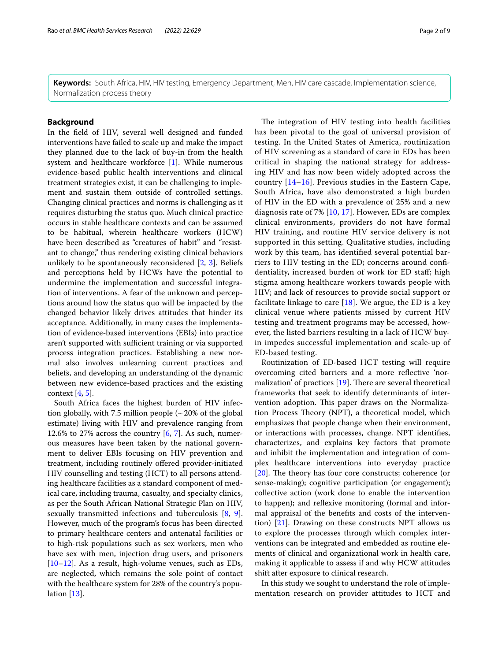**Keywords:** South Africa, HIV, HIV testing, Emergency Department, Men, HIV care cascade, Implementation science, Normalization process theory

## **Background**

In the feld of HIV, several well designed and funded interventions have failed to scale up and make the impact they planned due to the lack of buy-in from the health system and healthcare workforce [[1\]](#page-8-0). While numerous evidence-based public health interventions and clinical treatment strategies exist, it can be challenging to implement and sustain them outside of controlled settings. Changing clinical practices and norms is challenging as it requires disturbing the status quo. Much clinical practice occurs in stable healthcare contexts and can be assumed to be habitual, wherein healthcare workers (HCW) have been described as "creatures of habit" and "resistant to change," thus rendering existing clinical behaviors unlikely to be spontaneously reconsidered [\[2](#page-8-1), [3\]](#page-8-2). Beliefs and perceptions held by HCWs have the potential to undermine the implementation and successful integration of interventions. A fear of the unknown and perceptions around how the status quo will be impacted by the changed behavior likely drives attitudes that hinder its acceptance. Additionally, in many cases the implementation of evidence-based interventions (EBIs) into practice aren't supported with sufficient training or via supported process integration practices. Establishing a new normal also involves unlearning current practices and beliefs, and developing an understanding of the dynamic between new evidence-based practices and the existing context  $[4, 5]$  $[4, 5]$  $[4, 5]$ .

South Africa faces the highest burden of HIV infection globally, with 7.5 million people  $\left(\sim 20\% \text{ of the global}\right)$ estimate) living with HIV and prevalence ranging from 12.6% to 2[7](#page-8-6)% across the country  $[6, 7]$  $[6, 7]$ . As such, numerous measures have been taken by the national government to deliver EBIs focusing on HIV prevention and treatment, including routinely ofered provider-initiated HIV counselling and testing (HCT) to all persons attending healthcare facilities as a standard component of medical care, including trauma, casualty, and specialty clinics, as per the South African National Strategic Plan on HIV, sexually transmitted infections and tuberculosis [\[8](#page-8-7), [9](#page-8-8)]. However, much of the program's focus has been directed to primary healthcare centers and antenatal facilities or to high-risk populations such as sex workers, men who have sex with men, injection drug users, and prisoners [[10–](#page-8-9)[12](#page-8-10)]. As a result, high-volume venues, such as EDs, are neglected, which remains the sole point of contact with the healthcare system for 28% of the country's population [[13](#page-8-11)].

The integration of HIV testing into health facilities has been pivotal to the goal of universal provision of testing. In the United States of America, routinization of HIV screening as a standard of care in EDs has been critical in shaping the national strategy for addressing HIV and has now been widely adopted across the country [\[14](#page-8-12)[–16](#page-8-13)]. Previous studies in the Eastern Cape, South Africa, have also demonstrated a high burden of HIV in the ED with a prevalence of 25% and a new diagnosis rate of 7% [[10,](#page-8-9) [17](#page-8-14)]. However, EDs are complex clinical environments, providers do not have formal HIV training, and routine HIV service delivery is not supported in this setting. Qualitative studies, including work by this team, has identifed several potential barriers to HIV testing in the ED; concerns around confdentiality, increased burden of work for ED staf; high stigma among healthcare workers towards people with HIV; and lack of resources to provide social support or facilitate linkage to care  $[18]$  $[18]$ . We argue, the ED is a key clinical venue where patients missed by current HIV testing and treatment programs may be accessed, however, the listed barriers resulting in a lack of HCW buyin impedes successful implementation and scale-up of ED-based testing.

Routinization of ED-based HCT testing will require overcoming cited barriers and a more refective 'normalization' of practices  $[19]$  $[19]$ . There are several theoretical frameworks that seek to identify determinants of intervention adoption. This paper draws on the Normalization Process Theory (NPT), a theoretical model, which emphasizes that people change when their environment, or interactions with processes, change. NPT identifes, characterizes, and explains key factors that promote and inhibit the implementation and integration of complex healthcare interventions into everyday practice  $[20]$  $[20]$ . The theory has four core constructs; coherence (or sense-making); cognitive participation (or engagement); collective action (work done to enable the intervention to happen); and reflexive monitoring (formal and informal appraisal of the benefts and costs of the intervention) [\[21](#page-8-18)]. Drawing on these constructs NPT allows us to explore the processes through which complex interventions can be integrated and embedded as routine elements of clinical and organizational work in health care, making it applicable to assess if and why HCW attitudes shift after exposure to clinical research.

In this study we sought to understand the role of implementation research on provider attitudes to HCT and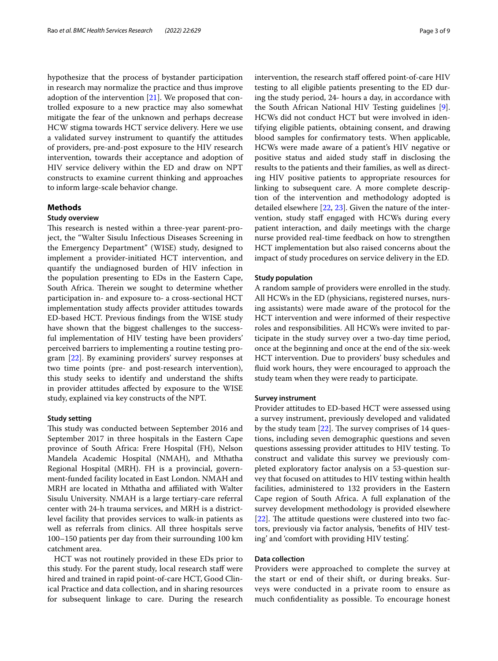hypothesize that the process of bystander participation in research may normalize the practice and thus improve adoption of the intervention [\[21](#page-8-18)]. We proposed that controlled exposure to a new practice may also somewhat mitigate the fear of the unknown and perhaps decrease HCW stigma towards HCT service delivery. Here we use a validated survey instrument to quantify the attitudes of providers, pre-and-post exposure to the HIV research intervention, towards their acceptance and adoption of HIV service delivery within the ED and draw on NPT constructs to examine current thinking and approaches to inform large-scale behavior change.

#### **Methods**

## **Study overview**

This research is nested within a three-year parent-project, the "Walter Sisulu Infectious Diseases Screening in the Emergency Department" (WISE) study, designed to implement a provider-initiated HCT intervention, and quantify the undiagnosed burden of HIV infection in the population presenting to EDs in the Eastern Cape, South Africa. Therein we sought to determine whether participation in- and exposure to- a cross-sectional HCT implementation study afects provider attitudes towards ED-based HCT. Previous fndings from the WISE study have shown that the biggest challenges to the successful implementation of HIV testing have been providers' perceived barriers to implementing a routine testing program [[22\]](#page-8-19). By examining providers' survey responses at two time points (pre- and post-research intervention), this study seeks to identify and understand the shifts in provider attitudes afected by exposure to the WISE study, explained via key constructs of the NPT.

## **Study setting**

This study was conducted between September 2016 and September 2017 in three hospitals in the Eastern Cape province of South Africa: Frere Hospital (FH), Nelson Mandela Academic Hospital (NMAH), and Mthatha Regional Hospital (MRH). FH is a provincial, government-funded facility located in East London. NMAH and MRH are located in Mthatha and afliated with Walter Sisulu University. NMAH is a large tertiary-care referral center with 24-h trauma services, and MRH is a districtlevel facility that provides services to walk-in patients as well as referrals from clinics. All three hospitals serve 100–150 patients per day from their surrounding 100 km catchment area.

HCT was not routinely provided in these EDs prior to this study. For the parent study, local research staff were hired and trained in rapid point-of-care HCT, Good Clinical Practice and data collection, and in sharing resources for subsequent linkage to care. During the research intervention, the research staff offered point-of-care HIV testing to all eligible patients presenting to the ED during the study period, 24- hours a day, in accordance with the South African National HIV Testing guidelines [\[9](#page-8-8)]. HCWs did not conduct HCT but were involved in identifying eligible patients, obtaining consent, and drawing blood samples for confrmatory tests. When applicable, HCWs were made aware of a patient's HIV negative or positive status and aided study staf in disclosing the results to the patients and their families, as well as directing HIV positive patients to appropriate resources for linking to subsequent care. A more complete description of the intervention and methodology adopted is detailed elsewhere [[22,](#page-8-19) [23](#page-8-20)]. Given the nature of the intervention, study staff engaged with HCWs during every patient interaction, and daily meetings with the charge nurse provided real-time feedback on how to strengthen HCT implementation but also raised concerns about the impact of study procedures on service delivery in the ED.

#### **Study population**

A random sample of providers were enrolled in the study. All HCWs in the ED (physicians, registered nurses, nursing assistants) were made aware of the protocol for the HCT intervention and were informed of their respective roles and responsibilities. All HCWs were invited to participate in the study survey over a two-day time period, once at the beginning and once at the end of the six-week HCT intervention. Due to providers' busy schedules and fuid work hours, they were encouraged to approach the study team when they were ready to participate.

## **Survey instrument**

Provider attitudes to ED-based HCT were assessed using a survey instrument, previously developed and validated by the study team  $[22]$  $[22]$ . The survey comprises of 14 questions, including seven demographic questions and seven questions assessing provider attitudes to HIV testing. To construct and validate this survey we previously completed exploratory factor analysis on a 53-question survey that focused on attitudes to HIV testing within health facilities, administered to 132 providers in the Eastern Cape region of South Africa. A full explanation of the survey development methodology is provided elsewhere  $[22]$  $[22]$ . The attitude questions were clustered into two factors, previously via factor analysis, 'benefts of HIV testing' and 'comfort with providing HIV testing'.

## **Data collection**

Providers were approached to complete the survey at the start or end of their shift, or during breaks. Surveys were conducted in a private room to ensure as much confdentiality as possible. To encourage honest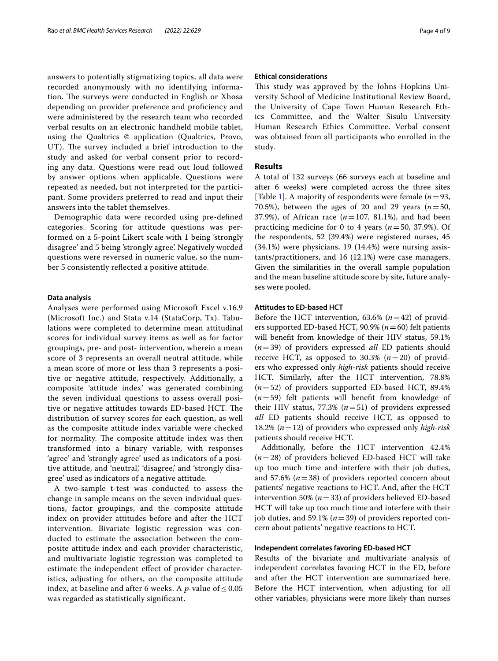answers to potentially stigmatizing topics, all data were recorded anonymously with no identifying information. The surveys were conducted in English or Xhosa depending on provider preference and profciency and were administered by the research team who recorded verbal results on an electronic handheld mobile tablet, using the Qualtrics © application (Qualtrics, Provo, UT). The survey included a brief introduction to the study and asked for verbal consent prior to recording any data. Questions were read out loud followed by answer options when applicable. Questions were repeated as needed, but not interpreted for the participant. Some providers preferred to read and input their answers into the tablet themselves.

Demographic data were recorded using pre-defned categories. Scoring for attitude questions was performed on a 5-point Likert scale with 1 being 'strongly disagree' and 5 being 'strongly agree'. Negatively worded questions were reversed in numeric value, so the number 5 consistently refected a positive attitude.

#### **Data analysis**

Analyses were performed using Microsoft Excel v.16.9 (Microsoft Inc.) and Stata v.14 (StataCorp, Tx). Tabulations were completed to determine mean attitudinal scores for individual survey items as well as for factor groupings, pre- and post- intervention, wherein a mean score of 3 represents an overall neutral attitude, while a mean score of more or less than 3 represents a positive or negative attitude, respectively. Additionally, a composite 'attitude index' was generated combining the seven individual questions to assess overall positive or negative attitudes towards ED-based HCT. The distribution of survey scores for each question, as well as the composite attitude index variable were checked for normality. The composite attitude index was then transformed into a binary variable, with responses 'agree' and 'strongly agree' used as indicators of a positive attitude, and 'neutral,' 'disagree,' and 'strongly disagree' used as indicators of a negative attitude.

A two-sample t-test was conducted to assess the change in sample means on the seven individual questions, factor groupings, and the composite attitude index on provider attitudes before and after the HCT intervention. Bivariate logistic regression was conducted to estimate the association between the composite attitude index and each provider characteristic, and multivariate logistic regression was completed to estimate the independent efect of provider characteristics, adjusting for others, on the composite attitude index, at baseline and after 6 weeks. A *p*-value of  $\leq 0.05$ was regarded as statistically signifcant.

#### **Ethical considerations**

This study was approved by the Johns Hopkins University School of Medicine Institutional Review Board, the University of Cape Town Human Research Ethics Committee, and the Walter Sisulu University Human Research Ethics Committee. Verbal consent was obtained from all participants who enrolled in the study.

## **Results**

A total of 132 surveys (66 surveys each at baseline and after 6 weeks) were completed across the three sites [Table [1\]](#page-4-0). A majority of respondents were female (*n*=93, 70.5%), between the ages of 20 and 29 years  $(n=50,$ 37.9%), of African race (*n*=107, 81.1%), and had been practicing medicine for 0 to 4 years (*n*=50, 37.9%). Of the respondents, 52 (39.4%) were registered nurses, 45 (34.1%) were physicians, 19 (14.4%) were nursing assistants/practitioners, and 16 (12.1%) were case managers. Given the similarities in the overall sample population and the mean baseline attitude score by site, future analyses were pooled.

## **Attitudes to ED‑based HCT**

Before the HCT intervention, 63.6% (*n*=42) of providers supported ED-based HCT, 90.9% (*n*=60) felt patients will beneft from knowledge of their HIV status, 59.1% (*n*=39) of providers expressed *all* ED patients should receive HCT, as opposed to 30.3%  $(n=20)$  of providers who expressed only *high-risk* patients should receive HCT. Similarly, after the HCT intervention, 78.8% (*n*=52) of providers supported ED-based HCT, 89.4% (*n*=59) felt patients will beneft from knowledge of their HIV status, 77.3% (*n*=51) of providers expressed *all* ED patients should receive HCT, as opposed to 18.2% (*n*=12) of providers who expressed only *high-risk* patients should receive HCT.

Additionally, before the HCT intervention 42.4% (*n*=28) of providers believed ED-based HCT will take up too much time and interfere with their job duties, and 57.6% (*n*=38) of providers reported concern about patients' negative reactions to HCT. And, after the HCT intervention 50% (*n*=33) of providers believed ED-based HCT will take up too much time and interfere with their job duties, and 59.1% (*n*=39) of providers reported concern about patients' negative reactions to HCT.

## **Independent correlates favoring ED‑based HCT**

Results of the bivariate and multivariate analysis of independent correlates favoring HCT in the ED, before and after the HCT intervention are summarized here. Before the HCT intervention, when adjusting for all other variables, physicians were more likely than nurses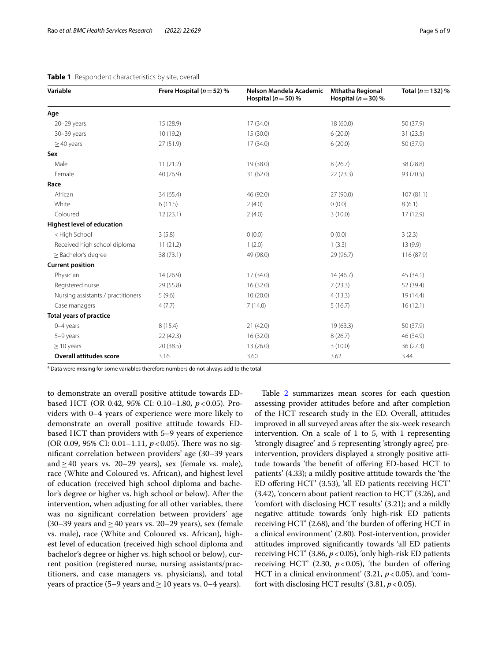| Variable                                                                                   | Frere Hospital ( $n = 52$ ) % | Nelson Mandela Academic<br>Hospital ( $n = 50$ ) % | <b>Mthatha Regional</b><br>Hospital ( $n = 30$ ) % | Total ( $n = 132$ ) % |
|--------------------------------------------------------------------------------------------|-------------------------------|----------------------------------------------------|----------------------------------------------------|-----------------------|
| Age                                                                                        |                               |                                                    |                                                    |                       |
| $20 - 29$ years                                                                            | 15(28.9)                      | 17(34.0)                                           | 18 (60.0)                                          | 50 (37.9)             |
| 30-39 years                                                                                | 10 (19.2)                     | 15(30.0)                                           | 6(20.0)                                            | 31(23.5)              |
| $>40$ years                                                                                | 27 (51.9)                     | 17(34.0)                                           | 6(20.0)                                            | 50 (37.9)             |
| Sex                                                                                        |                               |                                                    |                                                    |                       |
| Male                                                                                       | 11(21.2)                      | 19 (38.0)                                          | 8(26.7)                                            | 38 (28.8)             |
| Female                                                                                     | 40 (76.9)                     | 31 (62.0)                                          | 22(73.3)                                           | 93 (70.5)             |
| Race                                                                                       |                               |                                                    |                                                    |                       |
| African                                                                                    | 34 (65.4)                     | 46 (92.0)                                          | 27(90.0)                                           | 107(81.1)             |
| White                                                                                      | 6(11.5)                       | 2(4.0)                                             | (0.0)                                              | 8(6.1)                |
| Coloured                                                                                   | 12(23.1)                      | 2(4.0)                                             | 3(10.0)                                            | 17(12.9)              |
| <b>Highest level of education</b>                                                          |                               |                                                    |                                                    |                       |
| <high school<="" td=""><td>3(5.8)</td><td>0(0.0)</td><td>0(0.0)</td><td>3(2.3)</td></high> | 3(5.8)                        | 0(0.0)                                             | 0(0.0)                                             | 3(2.3)                |
| Received high school diploma                                                               | 11(21.2)                      | 1(2.0)                                             | 1(3.3)                                             | 13(9.9)               |
| > Bachelor's degree                                                                        | 38 (73.1)                     | 49 (98.0)                                          | 29 (96.7)                                          | 116 (87.9)            |
| <b>Current position</b>                                                                    |                               |                                                    |                                                    |                       |
| Physician                                                                                  | 14(26.9)                      | 17(34.0)                                           | 14(46.7)                                           | 45 (34.1)             |
| Registered nurse                                                                           | 29 (55.8)                     | 16 (32.0)                                          | 7(23.3)                                            | 52 (39.4)             |
| Nursing assistants / practitioners                                                         | 5(9.6)                        | 10(20.0)                                           | 4(13.3)                                            | 19 (14.4)             |
| Case managers                                                                              | 4(7.7)                        | 7(14.0)                                            | 5(16.7)                                            | 16(12.1)              |
| <b>Total years of practice</b>                                                             |                               |                                                    |                                                    |                       |
| $0 - 4$ years                                                                              | 8(15.4)                       | 21(42.0)                                           | 19(63.3)                                           | 50 (37.9)             |
| 5-9 years                                                                                  | 22 (42.3)                     | 16 (32.0)                                          | 8(26.7)                                            | 46 (34.9)             |
| $\geq$ 10 years                                                                            | 20 (38.5)                     | 13(26.0)                                           | 3(10.0)                                            | 36(27.3)              |
| <b>Overall attitudes score</b>                                                             | 3.16                          | 3.60                                               | 3.62                                               | 3.44                  |

<span id="page-4-0"></span>

| Table 1 Respondent characteristics by site, overall |  |
|-----------------------------------------------------|--|
|-----------------------------------------------------|--|

<sup>a</sup> Data were missing for some variables therefore numbers do not always add to the total

to demonstrate an overall positive attitude towards EDbased HCT (OR 0.42, 95% CI: 0.10–1.80,  $p < 0.05$ ). Providers with 0–4 years of experience were more likely to demonstrate an overall positive attitude towards EDbased HCT than providers with 5–9 years of experience (OR 0.09, 95% CI: 0.01–1.11,  $p < 0.05$ ). There was no signifcant correlation between providers' age (30–39 years and≥40 years vs. 20–29 years), sex (female vs. male), race (White and Coloured vs. African), and highest level of education (received high school diploma and bachelor's degree or higher vs. high school or below). After the intervention, when adjusting for all other variables, there was no signifcant correlation between providers' age (30–39 years and  $\geq$  40 years vs. 20–29 years), sex (female vs. male), race (White and Coloured vs. African), highest level of education (received high school diploma and bachelor's degree or higher vs. high school or below), current position (registered nurse, nursing assistants/practitioners, and case managers vs. physicians), and total years of practice (5–9 years and  $\geq$  10 years vs. 0–4 years).

Table [2](#page-5-0) summarizes mean scores for each question assessing provider attitudes before and after completion of the HCT research study in the ED. Overall, attitudes improved in all surveyed areas after the six-week research intervention. On a scale of 1 to 5, with 1 representing 'strongly disagree' and 5 representing 'strongly agree', preintervention, providers displayed a strongly positive attitude towards 'the benefit of offering ED-based HCT to patients' (4.33); a mildly positive attitude towards the 'the ED ofering HCT' (3.53), 'all ED patients receiving HCT' (3.42), 'concern about patient reaction to HCT' (3.26), and 'comfort with disclosing HCT results' (3.21); and a mildly negative attitude towards 'only high-risk ED patients receiving HCT' (2.68), and 'the burden of ofering HCT in a clinical environment' (2.80). Post-intervention, provider attitudes improved signifcantly towards 'all ED patients receiving HCT' (3.86,  $p < 0.05$ ), 'only high-risk ED patients receiving HCT' (2.30,  $p < 0.05$ ), 'the burden of offering HCT in a clinical environment'  $(3.21, p<0.05)$ , and 'comfort with disclosing HCT results'  $(3.81, p<0.05)$ .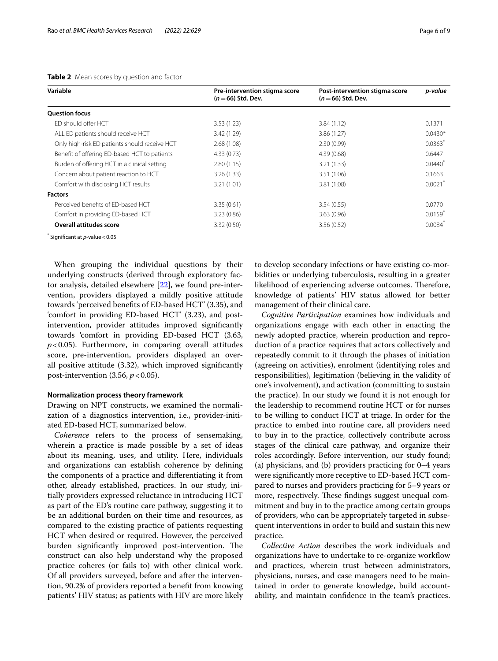| Variable                                      | Pre-intervention stigma score<br>$(n=66)$ Std. Dev. | Post-intervention stigma score<br>$(n=66)$ Std. Dev. | p-value               |
|-----------------------------------------------|-----------------------------------------------------|------------------------------------------------------|-----------------------|
| <b>Ouestion focus</b>                         |                                                     |                                                      |                       |
| ED should offer HCT                           | 3.53(1.23)                                          | 3.84(1.12)                                           | 0.1371                |
| ALL ED patients should receive HCT            | 3.42(1.29)                                          | 3.86(1.27)                                           | $0.0430*$             |
| Only high-risk ED patients should receive HCT | 2.68(1.08)                                          | 2.30(0.99)                                           | 0.0363                |
| Benefit of offering ED-based HCT to patients  | 4.33(0.73)                                          | 4.39(0.68)                                           | 0.6447                |
| Burden of offering HCT in a clinical setting  | 2.80(1.15)                                          | 3.21(1.33)                                           | $0.0440*$             |
| Concern about patient reaction to HCT         | 3.26(1.33)                                          | 3.51(1.06)                                           | 0.1663                |
| Comfort with disclosing HCT results           | 3.21(1.01)                                          | 3.81 (1.08)                                          | 0.0021                |
| <b>Factors</b>                                |                                                     |                                                      |                       |
| Perceived benefits of FD-based HCT            | 3.35(0.61)                                          | 3.54(0.55)                                           | 0.0770                |
| Comfort in providing ED-based HCT             | 3.23(0.86)                                          | 3.63(0.96)                                           | $0.0159$ <sup>*</sup> |
| <b>Overall attitudes score</b>                | 3.32(0.50)                                          | 3.56(0.52)                                           | 0.0084                |

## <span id="page-5-0"></span>**Table 2** Mean scores by question and factor

\* Signifcant at *p*-value<0.05

When grouping the individual questions by their underlying constructs (derived through exploratory factor analysis, detailed elsewhere [\[22\]](#page-8-19), we found pre-intervention, providers displayed a mildly positive attitude towards 'perceived benefts of ED-based HCT' (3.35), and 'comfort in providing ED-based HCT' (3.23), and postintervention, provider attitudes improved signifcantly towards 'comfort in providing ED-based HCT (3.63, *p*<0.05). Furthermore, in comparing overall attitudes score, pre-intervention, providers displayed an overall positive attitude (3.32), which improved signifcantly post-intervention  $(3.56, p < 0.05)$ .

## **Normalization process theory framework**

Drawing on NPT constructs, we examined the normalization of a diagnostics intervention, i.e., provider-initiated ED-based HCT, summarized below.

*Coherence* refers to the process of sensemaking, wherein a practice is made possible by a set of ideas about its meaning, uses, and utility. Here, individuals and organizations can establish coherence by defning the components of a practice and diferentiating it from other, already established, practices. In our study, initially providers expressed reluctance in introducing HCT as part of the ED's routine care pathway, suggesting it to be an additional burden on their time and resources, as compared to the existing practice of patients requesting HCT when desired or required. However, the perceived burden significantly improved post-intervention. The construct can also help understand why the proposed practice coheres (or fails to) with other clinical work. Of all providers surveyed, before and after the intervention, 90.2% of providers reported a beneft from knowing patients' HIV status; as patients with HIV are more likely to develop secondary infections or have existing co-morbidities or underlying tuberculosis, resulting in a greater likelihood of experiencing adverse outcomes. Therefore, knowledge of patients' HIV status allowed for better management of their clinical care.

*Cognitive Participation* examines how individuals and organizations engage with each other in enacting the newly adopted practice, wherein production and reproduction of a practice requires that actors collectively and repeatedly commit to it through the phases of initiation (agreeing on activities), enrolment (identifying roles and responsibilities), legitimation (believing in the validity of one's involvement), and activation (committing to sustain the practice). In our study we found it is not enough for the leadership to recommend routine HCT or for nurses to be willing to conduct HCT at triage. In order for the practice to embed into routine care, all providers need to buy in to the practice, collectively contribute across stages of the clinical care pathway, and organize their roles accordingly. Before intervention, our study found; (a) physicians, and (b) providers practicing for 0–4 years were signifcantly more receptive to ED-based HCT compared to nurses and providers practicing for 5–9 years or more, respectively. These findings suggest unequal commitment and buy in to the practice among certain groups of providers, who can be appropriately targeted in subsequent interventions in order to build and sustain this new practice.

*Collective Action* describes the work individuals and organizations have to undertake to re-organize workflow and practices, wherein trust between administrators, physicians, nurses, and case managers need to be maintained in order to generate knowledge, build accountability, and maintain confdence in the team's practices.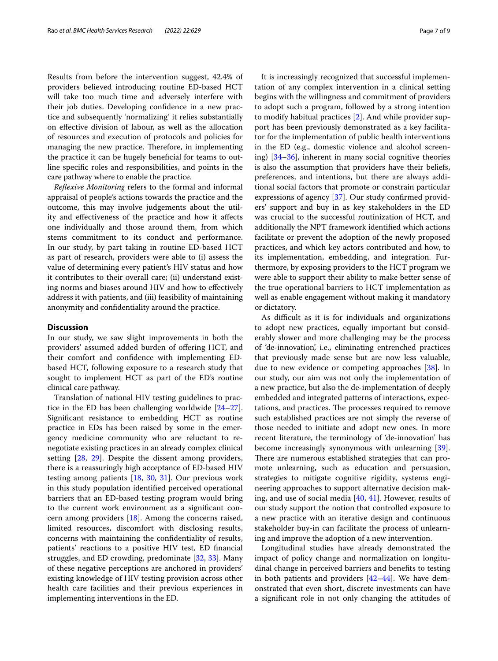Results from before the intervention suggest, 42.4% of providers believed introducing routine ED-based HCT will take too much time and adversely interfere with their job duties. Developing confdence in a new practice and subsequently 'normalizing' it relies substantially on efective division of labour, as well as the allocation of resources and execution of protocols and policies for managing the new practice. Therefore, in implementing the practice it can be hugely benefcial for teams to outline specifc roles and responsibilities, and points in the care pathway where to enable the practice.

*Refexive Monitoring* refers to the formal and informal appraisal of people's actions towards the practice and the outcome, this may involve judgements about the utility and efectiveness of the practice and how it afects one individually and those around them, from which stems commitment to its conduct and performance. In our study, by part taking in routine ED-based HCT as part of research, providers were able to (i) assess the value of determining every patient's HIV status and how it contributes to their overall care; (ii) understand existing norms and biases around HIV and how to efectively address it with patients, and (iii) feasibility of maintaining anonymity and confdentiality around the practice.

## **Discussion**

In our study, we saw slight improvements in both the providers' assumed added burden of ofering HCT, and their comfort and confdence with implementing EDbased HCT, following exposure to a research study that sought to implement HCT as part of the ED's routine clinical care pathway.

Translation of national HIV testing guidelines to practice in the ED has been challenging worldwide [[24](#page-8-21)[–27](#page-8-22)]. Signifcant resistance to embedding HCT as routine practice in EDs has been raised by some in the emergency medicine community who are reluctant to renegotiate existing practices in an already complex clinical setting [\[28](#page-8-23), [29](#page-8-24)]. Despite the dissent among providers, there is a reassuringly high acceptance of ED-based HIV testing among patients [\[18](#page-8-15), [30](#page-8-25), [31\]](#page-8-26). Our previous work in this study population identifed perceived operational barriers that an ED-based testing program would bring to the current work environment as a signifcant concern among providers [[18\]](#page-8-15). Among the concerns raised, limited resources, discomfort with disclosing results, concerns with maintaining the confdentiality of results, patients' reactions to a positive HIV test, ED fnancial struggles, and ED crowding, predominate [\[32](#page-8-27), [33\]](#page-8-28). Many of these negative perceptions are anchored in providers' existing knowledge of HIV testing provision across other health care facilities and their previous experiences in implementing interventions in the ED.

It is increasingly recognized that successful implementation of any complex intervention in a clinical setting begins with the willingness and commitment of providers to adopt such a program, followed by a strong intention to modify habitual practices [\[2](#page-8-1)]. And while provider support has been previously demonstrated as a key facilitator for the implementation of public health interventions in the ED (e.g., domestic violence and alcohol screening) [\[34](#page-8-29)[–36](#page-8-30)], inherent in many social cognitive theories is also the assumption that providers have their beliefs, preferences, and intentions, but there are always additional social factors that promote or constrain particular expressions of agency [\[37](#page-8-31)]. Our study confrmed providers' support and buy in as key stakeholders in the ED was crucial to the successful routinization of HCT, and additionally the NPT framework identifed which actions facilitate or prevent the adoption of the newly proposed practices, and which key actors contributed and how, to its implementation, embedding, and integration. Furthermore, by exposing providers to the HCT program we were able to support their ability to make better sense of the true operational barriers to HCT implementation as well as enable engagement without making it mandatory or dictatory.

As difficult as it is for individuals and organizations to adopt new practices, equally important but considerably slower and more challenging may be the process of 'de-innovation', i.e., eliminating entrenched practices that previously made sense but are now less valuable, due to new evidence or competing approaches [[38](#page-8-32)]. In our study, our aim was not only the implementation of a new practice, but also the de-implementation of deeply embedded and integrated patterns of interactions, expectations, and practices. The processes required to remove such established practices are not simply the reverse of those needed to initiate and adopt new ones. In more recent literature, the terminology of 'de-innovation' has become increasingly synonymous with unlearning [\[39](#page-8-33)]. There are numerous established strategies that can promote unlearning, such as education and persuasion, strategies to mitigate cognitive rigidity, systems engineering approaches to support alternative decision making, and use of social media [\[40,](#page-8-34) [41\]](#page-8-35). However, results of our study support the notion that controlled exposure to a new practice with an iterative design and continuous stakeholder buy-in can facilitate the process of unlearning and improve the adoption of a new intervention.

Longitudinal studies have already demonstrated the impact of policy change and normalization on longitudinal change in perceived barriers and benefts to testing in both patients and providers  $[42-44]$  $[42-44]$  $[42-44]$ . We have demonstrated that even short, discrete investments can have a signifcant role in not only changing the attitudes of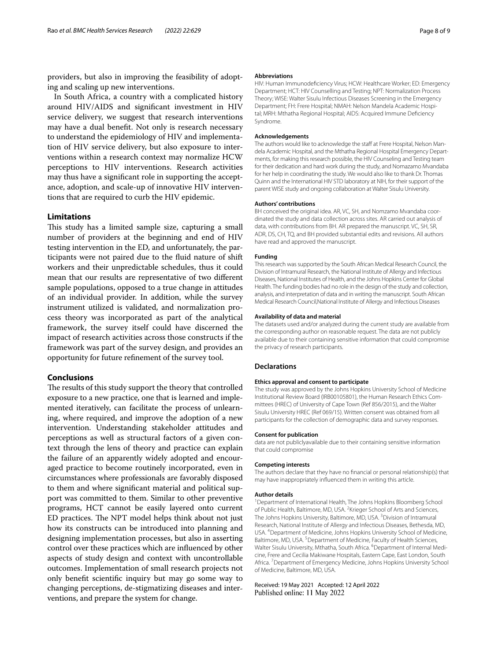providers, but also in improving the feasibility of adopting and scaling up new interventions.

In South Africa, a country with a complicated history around HIV/AIDS and signifcant investment in HIV service delivery, we suggest that research interventions may have a dual beneft. Not only is research necessary to understand the epidemiology of HIV and implementation of HIV service delivery, but also exposure to interventions within a research context may normalize HCW perceptions to HIV interventions. Research activities may thus have a signifcant role in supporting the acceptance, adoption, and scale-up of innovative HIV interventions that are required to curb the HIV epidemic.

## **Limitations**

This study has a limited sample size, capturing a small number of providers at the beginning and end of HIV testing intervention in the ED, and unfortunately, the participants were not paired due to the fuid nature of shift workers and their unpredictable schedules, thus it could mean that our results are representative of two diferent sample populations, opposed to a true change in attitudes of an individual provider. In addition, while the survey instrument utilized is validated, and normalization process theory was incorporated as part of the analytical framework, the survey itself could have discerned the impact of research activities across those constructs if the framework was part of the survey design, and provides an opportunity for future refnement of the survey tool.

## **Conclusions**

The results of this study support the theory that controlled exposure to a new practice, one that is learned and implemented iteratively, can facilitate the process of unlearning, where required, and improve the adoption of a new intervention. Understanding stakeholder attitudes and perceptions as well as structural factors of a given context through the lens of theory and practice can explain the failure of an apparently widely adopted and encouraged practice to become routinely incorporated, even in circumstances where professionals are favorably disposed to them and where signifcant material and political support was committed to them. Similar to other preventive programs, HCT cannot be easily layered onto current ED practices. The NPT model helps think about not just how its constructs can be introduced into planning and designing implementation processes, but also in asserting control over these practices which are infuenced by other aspects of study design and context with uncontrollable outcomes. Implementation of small research projects not only beneft scientifc inquiry but may go some way to changing perceptions, de-stigmatizing diseases and interventions, and prepare the system for change.

#### **Abbreviations**

HIV: Human Immunodefciency Virus; HCW: Healthcare Worker; ED: Emergency Department; HCT: HIV Counselling and Testing; NPT: Normalization Process Theory; WISE: Walter Sisulu Infectious Diseases Screening in the Emergency Department; FH: Frere Hospital; NMAH: Nelson Mandela Academic Hospital; MRH: Mthatha Regional Hospital; AIDS: Acquired Immune Defciency Syndrome.

#### **Acknowledgements**

The authors would like to acknowledge the staff at Frere Hospital, Nelson Mandela Academic Hospital, and the Mthatha Regional Hospital Emergency Departments, for making this research possible, the HIV Counseling and Testing team for their dedication and hard work during the study, and Nomazamo Mvandaba for her help in coordinating the study. We would also like to thank Dr. Thomas Quinn and the International HIV STD laboratory at NIH, for their support of the parent WISE study and ongoing collaboration at Walter Sisulu University.

#### **Authors' contributions**

BH conceived the original idea. AR, VC, SH, and Nomzamo Mvandaba coordinated the study and data collection across sites. AR carried out analysis of data, with contributions from BH. AR prepared the manuscript. VC, SH, SR, ADR, DS, CH, TQ, and BH provided substantial edits and revisions. All authors have read and approved the manuscript.

#### **Funding**

This research was supported by the South African Medical Research Council, the Division of Intramural Research, the National Institute of Allergy and Infectious Diseases, National Institutes of Health, and the Johns Hopkins Center for Global Health. The funding bodies had no role in the design of the study and collection, analysis, and interpretation of data and in writing the manuscript. South African Medical Research Council,National Institute of Allergy and Infectious Diseases

#### **Availability of data and material**

The datasets used and/or analyzed during the current study are available from the corresponding author on reasonable request. The data are not publicly available due to their containing sensitive information that could compromise the privacy of research participants.

#### **Declarations**

#### **Ethics approval and consent to participate**

The study was approved by the Johns Hopkins University School of Medicine Institutional Review Board (IRB00105801), the Human Research Ethics Committees (HREC) of University of Cape Town (Ref 856/2015), and the Walter Sisulu University HREC (Ref 069/15). Written consent was obtained from all participants for the collection of demographic data and survey responses.

#### **Consent for publication**

data are not publiclyavailable due to their containing sensitive information that could compromise

#### **Competing interests**

The authors declare that they have no fnancial or personal relationship(s) that may have inappropriately infuenced them in writing this article.

#### **Author details**

<sup>1</sup> Department of International Health, The Johns Hopkins Bloomberg School of Public Health, Baltimore, MD, USA. <sup>2</sup> Krieger School of Arts and Sciences, The Johns Hopkins University, Baltimore, MD, USA.<sup>3</sup> Division of Intramural Research, National Institute of Allergy and Infectious Diseases, Bethesda, MD, USA. 4 Department of Medicine, Johns Hopkins University School of Medicine, Baltimore, MD, USA.<sup>5</sup> Department of Medicine, Faculty of Health Sciences, Walter Sisulu University, Mthatha, South Africa. <sup>6</sup>Department of Internal Medicine, Frere and Cecilia Makiwane Hospitals, Eastern Cape, East London, South Africa.<sup>7</sup> Department of Emergency Medicine, Johns Hopkins University School of Medicine, Baltimore, MD, USA.

#### Received: 19 May 2021 Accepted: 12 April 2022Published online: 11 May 2022